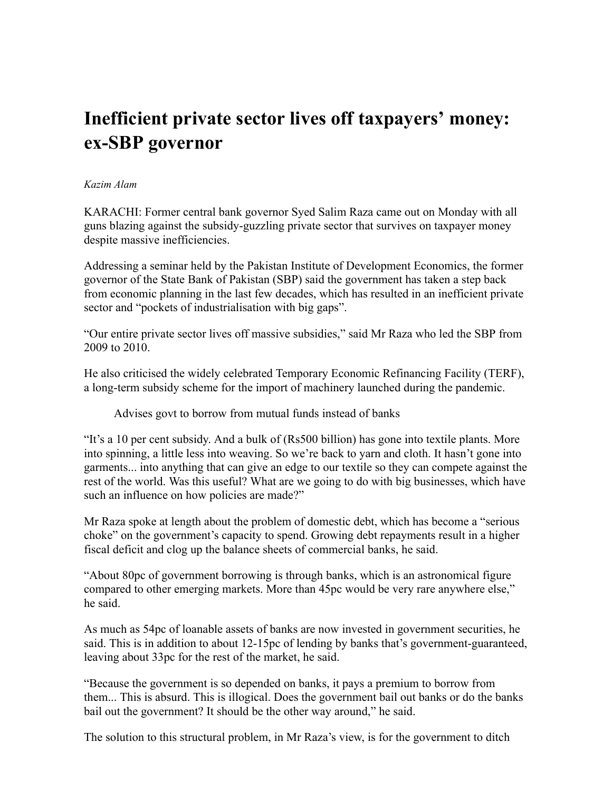## **Inefficient private sector lives off taxpayers' money: ex-SBP governor**

## *Kazim Alam*

KARACHI: Former central bank governor Syed Salim Raza came out on Monday with all guns blazing against the subsidy-guzzling private sector that survives on taxpayer money despite massive inefficiencies.

Addressing a seminar held by the Pakistan Institute of Development Economics, the former governor of the State Bank of Pakistan (SBP) said the government has taken a step back from economic planning in the last few decades, which has resulted in an inefficient private sector and "pockets of industrialisation with big gaps".

"Our entire private sector lives off massive subsidies," said Mr Raza who led the SBP from 2009 to 2010.

He also criticised the widely celebrated Temporary Economic Refinancing Facility (TERF), a long-term subsidy scheme for the import of machinery launched during the pandemic.

Advises govt to borrow from mutual funds instead of banks

"It's a 10 per cent subsidy. And a bulk of (Rs500 billion) has gone into textile plants. More into spinning, a little less into weaving. So we're back to yarn and cloth. It hasn't gone into garments... into anything that can give an edge to our textile so they can compete against the rest of the world. Was this useful? What are we going to do with big businesses, which have such an influence on how policies are made?"

Mr Raza spoke at length about the problem of domestic debt, which has become a "serious choke" on the government's capacity to spend. Growing debt repayments result in a higher fiscal deficit and clog up the balance sheets of commercial banks, he said.

"About 80pc of government borrowing is through banks, which is an astronomical figure compared to other emerging markets. More than 45pc would be very rare anywhere else," he said.

As much as 54pc of loanable assets of banks are now invested in government securities, he said. This is in addition to about 12-15pc of lending by banks that's government-guaranteed, leaving about 33pc for the rest of the market, he said.

"Because the government is so depended on banks, it pays a premium to borrow from them... This is absurd. This is illogical. Does the government bail out banks or do the banks bail out the government? It should be the other way around," he said.

The solution to this structural problem, in Mr Raza's view, is for the government to ditch